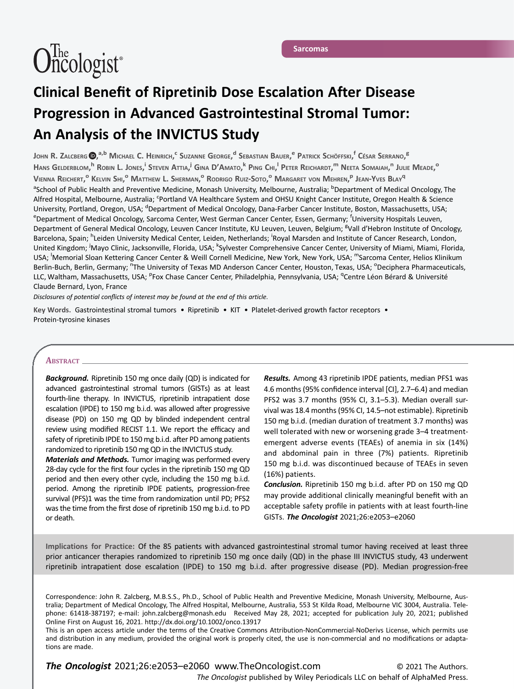# $\widehat{\text{Oncologist}}$ <sup>\*</sup>

# Sarcomas

# Clinical Benefit of Ripretinib Dose Escalation After Disease Progression in Advanced Gastrointestinal Stromal Tumor: An Analysis of the INVICTUS Study

John R. Zalcberg **(D,**<sup>a,b</sup> Michael C. Heinrich,<sup>c</sup> Suzanne George,<sup>d</sup> Sebastian Bauer,<sup>e</sup> Patrick Schöffski,<sup>f</sup> César Serrano,<sup>8</sup> Hans Gelderblom,<sup>h</sup> Robin L. Jones,<sup>i</sup> Steven Attia,<sup>j</sup> Gina D'Amato,<sup>k</sup> Ping Chi,<sup>i</sup> Peter Reichardt,<sup>m</sup> Neeta Somaiah,<sup>n</sup> Julie Meade,<sup>o</sup> Vienna Reichert,<sup>o</sup> Kelvin Shi,<sup>o</sup> Matthew L. Sherman,<sup>o</sup> Rodrigo Ruiz-Soto,<sup>o</sup> Margaret von Mehren,<sup>p</sup> Jean-Yves Blay<sup>q</sup> <sup>a</sup>School of Public Health and Preventive Medicine, Monash University, Melbourne, Australia; <sup>b</sup>Department of Medical Oncology, The Alfred Hospital, Melbourne, Australia; <sup>c</sup>Portland VA Healthcare System and OHSU Knight Cancer Institute, Oregon Health & Science University, Portland, Oregon, USA; <sup>d</sup>Department of Medical Oncology, Dana-Farber Cancer Institute, Boston, Massachusetts, USA;<br><sup>e</sup>Department of Medical Oncology, Sarcoma Center West German Cancer Center Essen, Germany: <sup>f</sup> Department of Medical Oncology, Sarcoma Center, West German Cancer Center, Essen, Germany; <sup>f</sup>University Hospitals Leuven, Department of General Medical Oncology, Leuven Cancer Institute, KU Leuven, Leuven, Belgium; <sup>g</sup>Vall d'Hebron Institute of Oncology, Barcelona, Spain; <sup>h</sup>Leiden University Medical Center, Leiden, Netherlands; <sup>i</sup>Royal Marsden and Institute of Cancer Research, London, United Kingdom; <sup>J</sup>Mayo Clinic, Jacksonville, Florida, USA; <sup>k</sup>Sylvester Comprehensive Cancer Center, University of Miami, Miami, Florida, USA; <sup>I</sup>Memorial Sloan Kettering Cancer Center & Weill Cornell Medicine, New York, New York, USA; <sup>m</sup>Sarcoma Center, Helios Klinikum Berlin-Buch, Berlin, Germany; <sup>n</sup>The University of Texas MD Anderson Cancer Center, Houston, Texas, USA; <sup>o</sup>Deciphera Pharmaceuticals, LLC, Waltham, Massachusetts, USA; <sup>p</sup>Fox Chase Cancer Center, Philadelphia, Pennsylvania, USA; <sup>q</sup>Centre Léon Bérard & Université Claude Bernard, Lyon, France

Disclosures of potential conflicts of interest may be found at the end of this article.

Key Words. Gastrointestinal stromal tumors • Ripretinib • KIT • Platelet-derived growth factor receptors • Protein-tyrosine kinases

# ABSTRACT\_

**Background.** Ripretinib 150 mg once daily (QD) is indicated for advanced gastrointestinal stromal tumors (GISTs) as at least fourth-line therapy. In INVICTUS, ripretinib intrapatient dose escalation (IPDE) to 150 mg b.i.d. was allowed after progressive disease (PD) on 150 mg QD by blinded independent central review using modified RECIST 1.1. We report the efficacy and safety of ripretinib IPDE to 150 mg b.i.d. after PD among patients randomized to ripretinib 150 mg QD in the INVICTUS study.

**Materials and Methods.** Tumor imaging was performed every 28-day cycle for the first four cycles in the ripretinib 150 mg QD period and then every other cycle, including the 150 mg b.i.d. period. Among the ripretinib IPDE patients, progression-free survival (PFS)1 was the time from randomization until PD; PFS2 was the time from the first dose of ripretinib 150 mg b.i.d. to PD or death.

Results. Among 43 ripretinib IPDE patients, median PFS1 was 4.6 months (95% confidence interval [CI], 2.7–6.4) and median PFS2 was 3.7 months (95% CI, 3.1–5.3). Median overall survival was 18.4 months (95% CI, 14.5–not estimable). Ripretinib 150 mg b.i.d. (median duration of treatment 3.7 months) was well tolerated with new or worsening grade 3–4 treatmentemergent adverse events (TEAEs) of anemia in six (14%) and abdominal pain in three (7%) patients. Ripretinib 150 mg b.i.d. was discontinued because of TEAEs in seven (16%) patients.

Conclusion. Ripretinib 150 mg b.i.d. after PD on 150 mg QD may provide additional clinically meaningful benefit with an acceptable safety profile in patients with at least fourth-line GISTs. The Oncologist 2021;26:e2053–e2060

Implications for Practice: Of the 85 patients with advanced gastrointestinal stromal tumor having received at least three prior anticancer therapies randomized to ripretinib 150 mg once daily (QD) in the phase III INVICTUS study, 43 underwent ripretinib intrapatient dose escalation (IPDE) to 150 mg b.i.d. after progressive disease (PD). Median progression-free

Correspondence: John R. Zalcberg, M.B.S.S., Ph.D., School of Public Health and Preventive Medicine, Monash University, Melbourne, Australia; Department of Medical Oncology, The Alfred Hospital, Melbourne, Australia, 553 St Kilda Road, Melbourne VIC 3004, Australia. Telephone: 61418-387197; e-mail: [john.zalcberg@monash.edu](mailto:john.zalcberg@monash.edu) Received May 28, 2021; accepted for publication July 20, 2021; published Online First on August 16, 2021.<http://dx.doi.org/10.1002/onco.13917>

This is an open access article under the terms of the [Creative Commons Attribution-NonCommercial-NoDerivs](http://creativecommons.org/licenses/by-nc-nd/4.0/) License, which permits use and distribution in any medium, provided the original work is properly cited, the use is non-commercial and no modifications or adaptations are made.

The Oncologist published by Wiley Periodicals LLC on behalf of AlphaMed Press. The Oncologist 2021;26:e2053-e2060 www.TheOncologist.com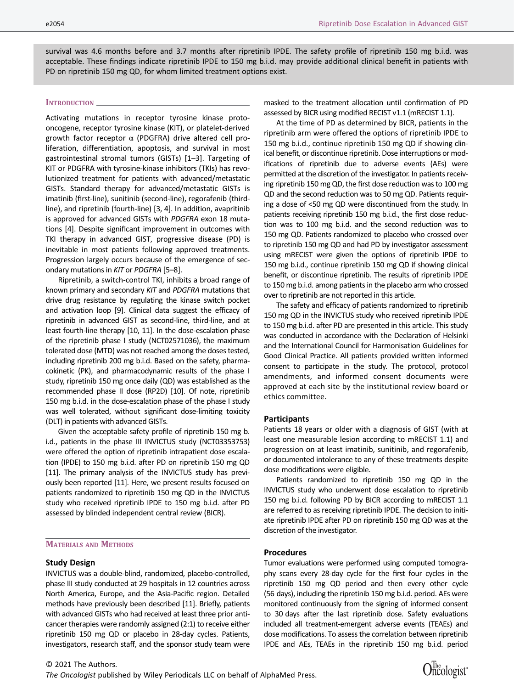survival was 4.6 months before and 3.7 months after ripretinib IPDE. The safety profile of ripretinib 150 mg b.i.d. was acceptable. These findings indicate ripretinib IPDE to 150 mg b.i.d. may provide additional clinical benefit in patients with PD on ripretinib 150 mg QD, for whom limited treatment options exist.

## INTRODUCTION \_

Activating mutations in receptor tyrosine kinase protooncogene, receptor tyrosine kinase (KIT), or platelet-derived growth factor receptor α (PDGFRA) drive altered cell proliferation, differentiation, apoptosis, and survival in most gastrointestinal stromal tumors (GISTs) [1–3]. Targeting of KIT or PDGFRA with tyrosine-kinase inhibitors (TKIs) has revolutionized treatment for patients with advanced/metastatic GISTs. Standard therapy for advanced/metastatic GISTs is imatinib (first-line), sunitinib (second-line), regorafenib (thirdline), and ripretinib (fourth-line) [3, 4]. In addition, avapritinib is approved for advanced GISTs with PDGFRA exon 18 mutations [4]. Despite significant improvement in outcomes with TKI therapy in advanced GIST, progressive disease (PD) is inevitable in most patients following approved treatments. Progression largely occurs because of the emergence of secondary mutations in KIT or PDGFRA [5–8].

Ripretinib, a switch-control TKI, inhibits a broad range of known primary and secondary KIT and PDGFRA mutations that drive drug resistance by regulating the kinase switch pocket and activation loop [9]. Clinical data suggest the efficacy of ripretinib in advanced GIST as second-line, third-line, and at least fourth-line therapy [10, 11]. In the dose-escalation phase of the ripretinib phase I study (NCT02571036), the maximum tolerated dose (MTD) was not reached among the doses tested, including ripretinib 200 mg b.i.d. Based on the safety, pharmacokinetic (PK), and pharmacodynamic results of the phase I study, ripretinib 150 mg once daily (QD) was established as the recommended phase II dose (RP2D) [10]. Of note, ripretinib 150 mg b.i.d. in the dose-escalation phase of the phase I study was well tolerated, without significant dose-limiting toxicity (DLT) in patients with advanced GISTs.

Given the acceptable safety profile of ripretinib 150 mg b. i.d., patients in the phase III INVICTUS study (NCT03353753) were offered the option of ripretinib intrapatient dose escalation (IPDE) to 150 mg b.i.d. after PD on ripretinib 150 mg QD [11]. The primary analysis of the INVICTUS study has previously been reported [11]. Here, we present results focused on patients randomized to ripretinib 150 mg QD in the INVICTUS study who received ripretinib IPDE to 150 mg b.i.d. after PD assessed by blinded independent central review (BICR).

# MATERIALS AND METHODS

#### Study Design

INVICTUS was a double-blind, randomized, placebo-controlled, phase III study conducted at 29 hospitals in 12 countries across North America, Europe, and the Asia-Pacific region. Detailed methods have previously been described [11]. Briefly, patients with advanced GISTs who had received at least three prior anticancer therapies were randomly assigned (2:1) to receive either ripretinib 150 mg QD or placebo in 28-day cycles. Patients, investigators, research staff, and the sponsor study team were masked to the treatment allocation until confirmation of PD assessed by BICR using modified RECIST v1.1 (mRECIST 1.1).

At the time of PD as determined by BICR, patients in the ripretinib arm were offered the options of ripretinib IPDE to 150 mg b.i.d., continue ripretinib 150 mg QD if showing clinical benefit, or discontinue ripretinib. Dose interruptions or modifications of ripretinib due to adverse events (AEs) were permitted at the discretion of the investigator. In patients receiving ripretinib 150 mg QD, the first dose reduction was to 100 mg QD and the second reduction was to 50 mg QD. Patients requiring a dose of <50 mg QD were discontinued from the study. In patients receiving ripretinib 150 mg b.i.d., the first dose reduction was to 100 mg b.i.d. and the second reduction was to 150 mg QD. Patients randomized to placebo who crossed over to ripretinib 150 mg QD and had PD by investigator assessment using mRECIST were given the options of ripretinib IPDE to 150 mg b.i.d., continue ripretinib 150 mg QD if showing clinical benefit, or discontinue ripretinib. The results of ripretinib IPDE to 150 mg b.i.d. among patients in the placebo arm who crossed over to ripretinib are not reported in this article.

The safety and efficacy of patients randomized to ripretinib 150 mg QD in the INVICTUS study who received ripretinib IPDE to 150 mg b.i.d. after PD are presented in this article. This study was conducted in accordance with the Declaration of Helsinki and the International Council for Harmonisation Guidelines for Good Clinical Practice. All patients provided written informed consent to participate in the study. The protocol, protocol amendments, and informed consent documents were approved at each site by the institutional review board or ethics committee.

#### **Participants**

Patients 18 years or older with a diagnosis of GIST (with at least one measurable lesion according to mRECIST 1.1) and progression on at least imatinib, sunitinib, and regorafenib, or documented intolerance to any of these treatments despite dose modifications were eligible.

Patients randomized to ripretinib 150 mg QD in the INVICTUS study who underwent dose escalation to ripretinib 150 mg b.i.d. following PD by BICR according to mRECIST 1.1 are referred to as receiving ripretinib IPDE. The decision to initiate ripretinib IPDE after PD on ripretinib 150 mg QD was at the discretion of the investigator.

#### Procedures

Tumor evaluations were performed using computed tomography scans every 28-day cycle for the first four cycles in the ripretinib 150 mg QD period and then every other cycle (56 days), including the ripretinib 150 mg b.i.d. period. AEs were monitored continuously from the signing of informed consent to 30 days after the last ripretinib dose. Safety evaluations included all treatment-emergent adverse events (TEAEs) and dose modifications. To assess the correlation between ripretinib IPDE and AEs, TEAEs in the ripretinib 150 mg b.i.d. period

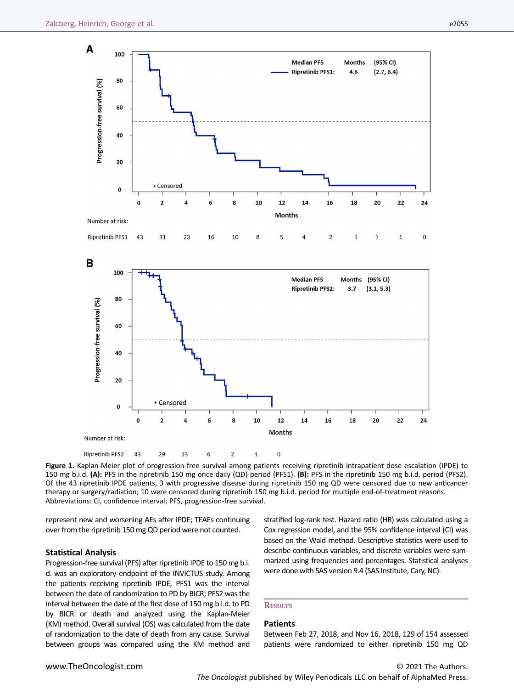

Figure 1. Kaplan-Meier plot of progression-free survival among patients receiving ripretinib intrapatient dose escalation (IPDE) to 150 mg b.i.d. (A): PFS in the ripretinib 150 mg once daily (QD) period (PFS1). (B): PFS in the ripretinib 150 mg b.i.d. period (PFS2). Of the 43 ripretinib IPDE patients, 3 with progressive disease during ripretinib 150 mg QD were censored due to new anticancer therapy or surgery/radiation; 10 were censored during ripretinib 150 mg b.i.d. period for multiple end-of-treatment reasons. Abbreviations: CI, confidence interval; PFS, progression-free survival.

represent new and worsening AEs after IPDE; TEAEs continuing over from the ripretinib 150 mg QD period were not counted.

#### Statistical Analysis

Progression-free survival (PFS) after ripretinib IPDE to 150 mg b.i. d. was an exploratory endpoint of the INVICTUS study. Among the patients receiving ripretinib IPDE, PFS1 was the interval between the date of randomization to PD by BICR; PFS2 was the interval between the date of the first dose of 150 mg b.i.d. to PD by BICR or death and analyzed using the Kaplan-Meier (KM) method. Overall survival (OS) was calculated from the date of randomization to the date of death from any cause. Survival between groups was compared using the KM method and stratified log-rank test. Hazard ratio (HR) was calculated using a Cox regression model, and the 95% confidence interval (CI) was based on the Wald method. Descriptive statistics were used to describe continuous variables, and discrete variables were summarized using frequencies and percentages. Statistical analyses were done with SAS version 9.4 (SAS Institute, Cary, NC).

#### **RESULTS**

#### Patients

Between Feb 27, 2018, and Nov 16, 2018, 129 of 154 assessed patients were randomized to either ripretinib 150 mg QD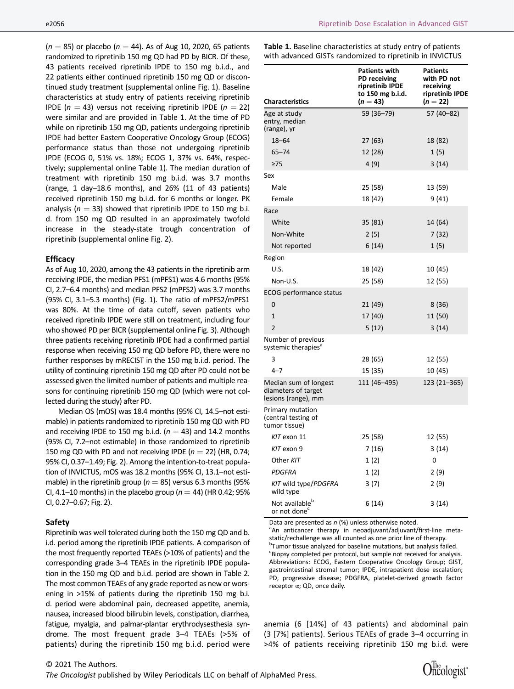$(n = 85)$  or placebo  $(n = 44)$ . As of Aug 10, 2020, 65 patients randomized to ripretinib 150 mg QD had PD by BICR. Of these, 43 patients received ripretinib IPDE to 150 mg b.i.d., and 22 patients either continued ripretinib 150 mg QD or discontinued study treatment (supplemental online Fig. 1). Baseline characteristics at study entry of patients receiving ripretinib IPDE ( $n = 43$ ) versus not receiving ripretinib IPDE ( $n = 22$ ) were similar and are provided in Table 1. At the time of PD while on ripretinib 150 mg QD, patients undergoing ripretinib IPDE had better Eastern Cooperative Oncology Group (ECOG) performance status than those not undergoing ripretinib IPDE (ECOG 0, 51% vs. 18%; ECOG 1, 37% vs. 64%, respectively; supplemental online Table 1). The median duration of treatment with ripretinib 150 mg b.i.d. was 3.7 months (range, 1 day–18.6 months), and 26% (11 of 43 patients) received ripretinib 150 mg b.i.d. for 6 months or longer. PK analysis ( $n = 33$ ) showed that ripretinib IPDE to 150 mg b.i. d. from 150 mg QD resulted in an approximately twofold increase in the steady-state trough concentration of ripretinib (supplemental online Fig. 2).

#### **Efficacy**

As of Aug 10, 2020, among the 43 patients in the ripretinib arm receiving IPDE, the median PFS1 (mPFS1) was 4.6 months (95% CI, 2.7–6.4 months) and median PFS2 (mPFS2) was 3.7 months (95% CI, 3.1–5.3 months) (Fig. 1). The ratio of mPFS2/mPFS1 was 80%. At the time of data cutoff, seven patients who received ripretinib IPDE were still on treatment, including four who showed PD per BICR (supplemental online Fig. 3). Although three patients receiving ripretinib IPDE had a confirmed partial response when receiving 150 mg QD before PD, there were no further responses by mRECIST in the 150 mg b.i.d. period. The utility of continuing ripretinib 150 mg QD after PD could not be assessed given the limited number of patients and multiple reasons for continuing ripretinib 150 mg QD (which were not collected during the study) after PD.

Median OS (mOS) was 18.4 months (95% CI, 14.5–not estimable) in patients randomized to ripretinib 150 mg QD with PD and receiving IPDE to 150 mg b.i.d. ( $n = 43$ ) and 14.2 months (95% CI, 7.2–not estimable) in those randomized to ripretinib 150 mg QD with PD and not receiving IPDE ( $n = 22$ ) (HR, 0.74; 95% CI, 0.37–1.49; Fig. 2). Among the intention-to-treat population of INVICTUS, mOS was 18.2 months (95% CI, 13.1–not estimable) in the ripretinib group ( $n = 85$ ) versus 6.3 months (95% CI, 4.1–10 months) in the placebo group ( $n = 44$ ) (HR 0.42; 95% CI, 0.27–0.67; Fig. 2).

#### Safety

Ripretinib was well tolerated during both the 150 mg QD and b. i.d. period among the ripretinib IPDE patients. A comparison of the most frequently reported TEAEs (>10% of patients) and the corresponding grade 3–4 TEAEs in the ripretinib IPDE population in the 150 mg QD and b.i.d. period are shown in Table 2. The most common TEAEs of any grade reported as new or worsening in >15% of patients during the ripretinib 150 mg b.i. d. period were abdominal pain, decreased appetite, anemia, nausea, increased blood bilirubin levels, constipation, diarrhea, fatigue, myalgia, and palmar-plantar erythrodysesthesia syndrome. The most frequent grade 3–4 TEAEs (>5% of patients) during the ripretinib 150 mg b.i.d. period were

The Oncologist published by Wiley Periodicals LLC on behalf of AlphaMed Press.

Table 1. Baseline characteristics at study entry of patients with advanced GISTs randomized to ripretinib in INVICTUS

| <b>Characteristics</b>                                              | <b>Patients with</b><br>PD receiving<br>ripretinib IPDE<br>to 150 mg b.i.d.<br>$(n = 43)$ | <b>Patients</b><br>with PD not<br>receiving<br>ripretinib IPDE<br>$(n = 22)$ |
|---------------------------------------------------------------------|-------------------------------------------------------------------------------------------|------------------------------------------------------------------------------|
| Age at study<br>entry, median<br>(range), yr                        | 59 (36-79)                                                                                | 57 (40-82)                                                                   |
| $18 - 64$                                                           | 27 (63)                                                                                   | 18 (82)                                                                      |
| $65 - 74$                                                           | 12 (28)                                                                                   | 1(5)                                                                         |
| $\geq 75$                                                           | 4(9)                                                                                      | 3(14)                                                                        |
| Sex                                                                 |                                                                                           |                                                                              |
| Male                                                                | 25 (58)                                                                                   | 13 (59)                                                                      |
| Female                                                              | 18 (42)                                                                                   | 9(41)                                                                        |
| Race                                                                |                                                                                           |                                                                              |
| White                                                               | 35 (81)                                                                                   | 14 (64)                                                                      |
| Non-White                                                           | 2(5)                                                                                      | 7(32)                                                                        |
| Not reported                                                        | 6(14)                                                                                     | 1(5)                                                                         |
| Region                                                              |                                                                                           |                                                                              |
| U.S.                                                                | 18 (42)                                                                                   | 10 (45)                                                                      |
| Non-U.S.                                                            | 25 (58)                                                                                   | 12 (55)                                                                      |
| <b>ECOG performance status</b>                                      |                                                                                           |                                                                              |
| 0                                                                   | 21 (49)                                                                                   | 8(36)                                                                        |
| $\overline{1}$                                                      | 17 (40)                                                                                   | 11 (50)                                                                      |
| $\overline{2}$                                                      | 5 (12)                                                                                    | 3(14)                                                                        |
| Number of previous<br>systemic therapies <sup>a</sup>               |                                                                                           |                                                                              |
| 3                                                                   | 28 (65)                                                                                   | 12 (55)                                                                      |
| $4 - 7$                                                             | 15 (35)                                                                                   | 10 (45)                                                                      |
| Median sum of longest<br>diameters of target<br>lesions (range), mm | 111 (46-495)                                                                              | 123 (21-365)                                                                 |
| Primary mutation<br>(central testing of<br>tumor tissue)            |                                                                                           |                                                                              |
| KIT exon 11                                                         | 25 (58)                                                                                   | 12 (55)                                                                      |
| KIT exon 9                                                          | 7(16)                                                                                     | 3(14)                                                                        |
| Other KIT                                                           | 1(2)                                                                                      | 0                                                                            |
| <b>PDGFRA</b>                                                       | 1(2)                                                                                      | 2(9)                                                                         |
| KIT wild type/PDGFRA<br>wild type                                   | 3(7)                                                                                      | 2(9)                                                                         |
| Not available <sup>b</sup><br>or not done <sup>c</sup>              | 6(14)                                                                                     | 3(14)                                                                        |

Data are presented as  $n$  (%) unless otherwise noted.

<sup>a</sup>An anticancer therapy in neoadjuvant/adjuvant/first-line metastatic/rechallenge was all counted as one prior line of therapy. <sup>b</sup> Tumor tissue analyzed for baseline mutations, but analysis failed. <sup>c</sup>Biopsy completed per protocol, but sample not received for analysis. Abbreviations: ECOG, Eastern Cooperative Oncology Group; GIST, gastrointestinal stromal tumor; IPDE, intrapatient dose escalation; PD, progressive disease; PDGFRA, platelet-derived growth factor receptor α; QD, once daily.

anemia (6 [14%] of 43 patients) and abdominal pain (3 [7%] patients). Serious TEAEs of grade 3–4 occurring in >4% of patients receiving ripretinib 150 mg b.i.d. were

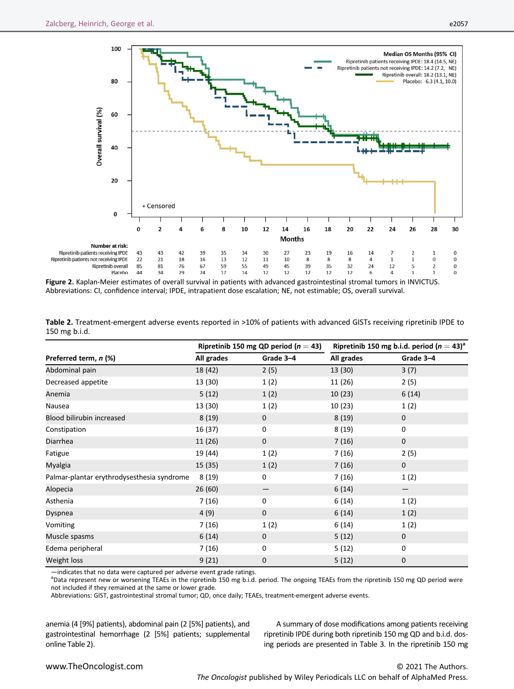

Figure 2. Kaplan-Meier estimates of overall survival in patients with advanced gastrointestinal stromal tumors in INVICTUS. Abbreviations: CI, confidence interval; IPDE, intrapatient dose escalation; NE, not estimable; OS, overall survival.

|                                            | Ripretinib 150 mg QD period ( $n = 43$ ) |             | Ripretinib 150 mg b.i.d. period $(n = 43)^{a}$ |                   |
|--------------------------------------------|------------------------------------------|-------------|------------------------------------------------|-------------------|
| Preferred term, n (%)                      | All grades                               | Grade 3-4   | All grades                                     | Grade 3-4         |
| Abdominal pain                             | 18 (42)                                  | 2(5)        | 13 (30)                                        | 3(7)              |
| Decreased appetite                         | 13 (30)                                  | 1(2)        | 11 (26)                                        | 2(5)              |
| Anemia                                     | 5(12)                                    | 1(2)        | 10(23)                                         | 6(14)             |
| Nausea                                     | 13 (30)                                  | 1(2)        | 10(23)                                         | 1(2)              |
| Blood bilirubin increased                  | 8(19)                                    | $\mathbf 0$ | 8(19)                                          | $\mathbf 0$       |
| Constipation                               | 16 (37)                                  | 0           | 8(19)                                          | 0                 |
| <b>Diarrhea</b>                            | 11(26)                                   | $\mathbf 0$ | 7(16)                                          | $\mathbf 0$       |
| Fatigue                                    | 19 (44)                                  | 1(2)        | 7(16)                                          | 2(5)              |
| Myalgia                                    | 15 (35)                                  | 1(2)        | 7(16)                                          | $\mathbf 0$       |
| Palmar-plantar erythrodysesthesia syndrome | 8(19)                                    | $\mathbf 0$ | 7(16)                                          | 1(2)              |
| Alopecia                                   | 26(60)                                   |             | 6(14)                                          | $\qquad \qquad -$ |
| Asthenia                                   | 7(16)                                    | 0           | 6(14)                                          | 1(2)              |
| Dyspnea                                    | 4(9)                                     | $\mathbf 0$ | 6(14)                                          | 1(2)              |
| Vomiting                                   | 7(16)                                    | 1(2)        | 6(14)                                          | 1(2)              |
| Muscle spasms                              | 6(14)                                    | $\mathbf 0$ | 5(12)                                          | $\mathbf 0$       |
| Edema peripheral                           | 7(16)                                    | 0           | 5(12)                                          | 0                 |
| Weight loss                                | 9(21)                                    | $\mathbf 0$ | 5(12)                                          | $\mathbf 0$       |

Table 2. Treatment-emergent adverse events reported in >10% of patients with advanced GISTs receiving ripretinib IPDE to 150 mg b.i.d.

—indicates that no data were captured per adverse event grade ratings. <sup>a</sup>

<sup>a</sup>Data represent new or worsening TEAEs in the ripretinib 150 mg b.i.d. period. The ongoing TEAEs from the ripretinib 150 mg QD period were not included if they remained at the same or lower grade.

Abbreviations: GIST, gastrointestinal stromal tumor; QD, once daily; TEAEs, treatment-emergent adverse events.

anemia (4 [9%] patients), abdominal pain (2 [5%] patients), and gastrointestinal hemorrhage (2 [5%] patients; supplemental online Table 2).

A summary of dose modifications among patients receiving ripretinib IPDE during both ripretinib 150 mg QD and b.i.d. dosing periods are presented in Table 3. In the ripretinib 150 mg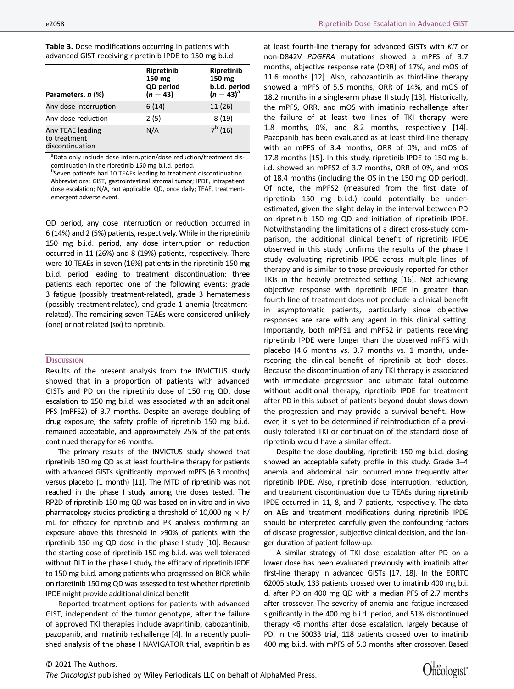| .<br>.                                                  |  |
|---------------------------------------------------------|--|
| advanced GIST receiving ripretinib IPDE to 150 mg b.i.d |  |
| Table 3. Dose modifications occurring in patients with  |  |

| Parameters, n (%)                                   | Ripretinib<br>150 mg<br>QD period<br>$(n = 43)$ | Ripretinib<br>150 mg<br>b.i.d. period<br>$(n = 43)^{a}$ |
|-----------------------------------------------------|-------------------------------------------------|---------------------------------------------------------|
| Any dose interruption                               | 6(14)                                           | 11 (26)                                                 |
| Any dose reduction                                  | 2(5)                                            | 8(19)                                                   |
| Any TEAE leading<br>to treatment<br>discontinuation | N/A                                             | $7^b(16)$                                               |

<sup>a</sup>Data only include dose interruption/dose reduction/treatment discontinuation in the ripretinib 150 mg b.i.d. period.

<sup>b</sup>Seven patients had 10 TEAEs leading to treatment discontinuation. Abbreviations: GIST, gastrointestinal stromal tumor; IPDE, intrapatient dose escalation; N/A, not applicable; QD, once daily; TEAE, treatmentemergent adverse event.

QD period, any dose interruption or reduction occurred in 6 (14%) and 2 (5%) patients, respectively. While in the ripretinib 150 mg b.i.d. period, any dose interruption or reduction occurred in 11 (26%) and 8 (19%) patients, respectively. There were 10 TEAEs in seven (16%) patients in the ripretinib 150 mg b.i.d. period leading to treatment discontinuation; three patients each reported one of the following events: grade 3 fatigue (possibly treatment-related), grade 3 hematemesis (possibly treatment-related), and grade 1 anemia (treatmentrelated). The remaining seven TEAEs were considered unlikely (one) or not related (six) to ripretinib.

#### **DISCUSSION**

Results of the present analysis from the INVICTUS study showed that in a proportion of patients with advanced GISTs and PD on the ripretinib dose of 150 mg QD, dose escalation to 150 mg b.i.d. was associated with an additional PFS (mPFS2) of 3.7 months. Despite an average doubling of drug exposure, the safety profile of ripretinib 150 mg b.i.d. remained acceptable, and approximately 25% of the patients continued therapy for ≥6 months.

The primary results of the INVICTUS study showed that ripretinib 150 mg QD as at least fourth-line therapy for patients with advanced GISTs significantly improved mPFS (6.3 months) versus placebo (1 month) [11]. The MTD of ripretinib was not reached in the phase I study among the doses tested. The RP2D of ripretinib 150 mg QD was based on in vitro and in vivo pharmacology studies predicting a threshold of 10,000 ng  $\times$  h/ mL for efficacy for ripretinib and PK analysis confirming an exposure above this threshold in >90% of patients with the ripretinib 150 mg QD dose in the phase I study [10]. Because the starting dose of ripretinib 150 mg b.i.d. was well tolerated without DLT in the phase I study, the efficacy of ripretinib IPDE to 150 mg b.i.d. among patients who progressed on BICR while on ripretinib 150 mg QD was assessed to test whether ripretinib IPDE might provide additional clinical benefit.

Reported treatment options for patients with advanced GIST, independent of the tumor genotype, after the failure of approved TKI therapies include avapritinib, cabozantinib, pazopanib, and imatinib rechallenge [4]. In a recently published analysis of the phase I NAVIGATOR trial, avapritinib as at least fourth-line therapy for advanced GISTs with KIT or non-D842V PDGFRA mutations showed a mPFS of 3.7 months, objective response rate (ORR) of 17%, and mOS of 11.6 months [12]. Also, cabozantinib as third-line therapy showed a mPFS of 5.5 months, ORR of 14%, and mOS of 18.2 months in a single-arm phase II study [13]. Historically, the mPFS, ORR, and mOS with imatinib rechallenge after the failure of at least two lines of TKI therapy were 1.8 months, 0%, and 8.2 months, respectively [14]. Pazopanib has been evaluated as at least third-line therapy with an mPFS of 3.4 months, ORR of 0%, and mOS of 17.8 months [15]. In this study, ripretinib IPDE to 150 mg b. i.d. showed an mPFS2 of 3.7 months, ORR of 0%, and mOS of 18.4 months (including the OS in the 150 mg QD period). Of note, the mPFS2 (measured from the first date of ripretinib 150 mg b.i.d.) could potentially be underestimated, given the slight delay in the interval between PD on ripretinib 150 mg QD and initiation of ripretinib IPDE. Notwithstanding the limitations of a direct cross-study comparison, the additional clinical benefit of ripretinib IPDE observed in this study confirms the results of the phase I study evaluating ripretinib IPDE across multiple lines of therapy and is similar to those previously reported for other TKIs in the heavily pretreated setting [16]. Not achieving objective response with ripretinib IPDE in greater than fourth line of treatment does not preclude a clinical benefit in asymptomatic patients, particularly since objective responses are rare with any agent in this clinical setting. Importantly, both mPFS1 and mPFS2 in patients receiving ripretinib IPDE were longer than the observed mPFS with placebo (4.6 months vs. 3.7 months vs. 1 month), underscoring the clinical benefit of ripretinib at both doses. Because the discontinuation of any TKI therapy is associated with immediate progression and ultimate fatal outcome without additional therapy, ripretinib IPDE for treatment after PD in this subset of patients beyond doubt slows down the progression and may provide a survival benefit. However, it is yet to be determined if reintroduction of a previously tolerated TKI or continuation of the standard dose of ripretinib would have a similar effect.

Despite the dose doubling, ripretinib 150 mg b.i.d. dosing showed an acceptable safety profile in this study. Grade 3–4 anemia and abdominal pain occurred more frequently after ripretinib IPDE. Also, ripretinib dose interruption, reduction, and treatment discontinuation due to TEAEs during ripretinib IPDE occurred in 11, 8, and 7 patients, respectively. The data on AEs and treatment modifications during ripretinib IPDE should be interpreted carefully given the confounding factors of disease progression, subjective clinical decision, and the longer duration of patient follow-up.

A similar strategy of TKI dose escalation after PD on a lower dose has been evaluated previously with imatinib after first-line therapy in advanced GISTs [17, 18]. In the EORTC 62005 study, 133 patients crossed over to imatinib 400 mg b.i. d. after PD on 400 mg QD with a median PFS of 2.7 months after crossover. The severity of anemia and fatigue increased significantly in the 400 mg b.i.d. period, and 51% discontinued therapy <6 months after dose escalation, largely because of PD. In the S0033 trial, 118 patients crossed over to imatinib 400 mg b.i.d. with mPFS of 5.0 months after crossover. Based

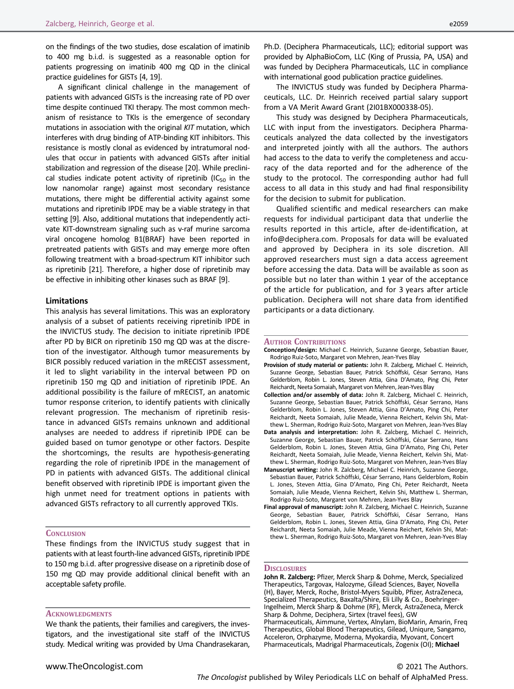on the findings of the two studies, dose escalation of imatinib to 400 mg b.i.d. is suggested as a reasonable option for patients progressing on imatinib 400 mg QD in the clinical practice guidelines for GISTs [4, 19].

A significant clinical challenge in the management of patients with advanced GISTs is the increasing rate of PD over time despite continued TKI therapy. The most common mechanism of resistance to TKIs is the emergence of secondary mutations in association with the original KIT mutation, which interferes with drug binding of ATP-binding KIT inhibitors. This resistance is mostly clonal as evidenced by intratumoral nodules that occur in patients with advanced GISTs after initial stabilization and regression of the disease [20]. While preclinical studies indicate potent activity of ripretinib  $(IC_{50}$  in the low nanomolar range) against most secondary resistance mutations, there might be differential activity against some mutations and ripretinib IPDE may be a viable strategy in that setting [9]. Also, additional mutations that independently activate KIT-downstream signaling such as v-raf murine sarcoma viral oncogene homolog B1(BRAF) have been reported in pretreated patients with GISTs and may emerge more often following treatment with a broad-spectrum KIT inhibitor such as ripretinib [21]. Therefore, a higher dose of ripretinib may be effective in inhibiting other kinases such as BRAF [9].

### Limitations

This analysis has several limitations. This was an exploratory analysis of a subset of patients receiving ripretinib IPDE in the INVICTUS study. The decision to initiate ripretinib IPDE after PD by BICR on ripretinib 150 mg QD was at the discretion of the investigator. Although tumor measurements by BICR possibly reduced variation in the mRECIST assessment, it led to slight variability in the interval between PD on ripretinib 150 mg QD and initiation of ripretinib IPDE. An additional possibility is the failure of mRECIST, an anatomic tumor response criterion, to identify patients with clinically relevant progression. The mechanism of ripretinib resistance in advanced GISTs remains unknown and additional analyses are needed to address if ripretinib IPDE can be guided based on tumor genotype or other factors. Despite the shortcomings, the results are hypothesis-generating regarding the role of ripretinib IPDE in the management of PD in patients with advanced GISTs. The additional clinical benefit observed with ripretinib IPDE is important given the high unmet need for treatment options in patients with advanced GISTs refractory to all currently approved TKIs.

#### **CONCLUSION**

These findings from the INVICTUS study suggest that in patients with at least fourth-line advanced GISTs, ripretinib IPDE to 150 mg b.i.d. after progressive disease on a ripretinib dose of 150 mg QD may provide additional clinical benefit with an acceptable safety profile.

#### **ACKNOWLEDGMENTS**

We thank the patients, their families and caregivers, the investigators, and the investigational site staff of the INVICTUS study. Medical writing was provided by Uma Chandrasekaran, Ph.D. (Deciphera Pharmaceuticals, LLC); editorial support was provided by AlphaBioCom, LLC (King of Prussia, PA, USA) and was funded by Deciphera Pharmaceuticals, LLC in compliance with international good publication practice guidelines.

The INVICTUS study was funded by Deciphera Pharmaceuticals, LLC. Dr. Heinrich received partial salary support from a VA Merit Award Grant (2I01BX000338-05).

This study was designed by Deciphera Pharmaceuticals, LLC with input from the investigators. Deciphera Pharmaceuticals analyzed the data collected by the investigators and interpreted jointly with all the authors. The authors had access to the data to verify the completeness and accuracy of the data reported and for the adherence of the study to the protocol. The corresponding author had full access to all data in this study and had final responsibility for the decision to submit for publication.

Qualified scientific and medical researchers can make requests for individual participant data that underlie the results reported in this article, after de-identification, at [info@deciphera.com.](mailto:info@deciphera.com) Proposals for data will be evaluated and approved by Deciphera in its sole discretion. All approved researchers must sign a data access agreement before accessing the data. Data will be available as soon as possible but no later than within 1 year of the acceptance of the article for publication, and for 3 years after article publication. Deciphera will not share data from identified participants or a data dictionary.

#### AUTHOR CONTRIBUTIONS

- Conception/design: Michael C. Heinrich, Suzanne George, Sebastian Bauer, Rodrigo Ruiz-Soto, Margaret von Mehren, Jean-Yves Blay
- Provision of study material or patients: John R. Zalcberg, Michael C. Heinrich, Suzanne George, Sebastian Bauer, Patrick Schöffski, César Serrano, Hans Gelderblom, Robin L. Jones, Steven Attia, Gina D'Amato, Ping Chi, Peter Reichardt, Neeta Somaiah, Margaret von Mehren, Jean-Yves Blay
- Collection and/or assembly of data: John R. Zalcberg, Michael C. Heinrich, Suzanne George, Sebastian Bauer, Patrick Schöffski, César Serrano, Hans Gelderblom, Robin L. Jones, Steven Attia, Gina D'Amato, Ping Chi, Peter Reichardt, Neeta Somaiah, Julie Meade, Vienna Reichert, Kelvin Shi, Matthew L. Sherman, Rodrigo Ruiz-Soto, Margaret von Mehren, Jean-Yves Blay
- Data analysis and interpretation: John R. Zalcberg, Michael C. Heinrich, Suzanne George, Sebastian Bauer, Patrick Schöffski, César Serrano, Hans Gelderblom, Robin L. Jones, Steven Attia, Gina D'Amato, Ping Chi, Peter Reichardt, Neeta Somaiah, Julie Meade, Vienna Reichert, Kelvin Shi, Matthew L. Sherman, Rodrigo Ruiz-Soto, Margaret von Mehren, Jean-Yves Blay
- Manuscript writing: John R. Zalcberg, Michael C. Heinrich, Suzanne George, Sebastian Bauer, Patrick Schöffski, César Serrano, Hans Gelderblom, Robin L. Jones, Steven Attia, Gina D'Amato, Ping Chi, Peter Reichardt, Neeta Somaiah, Julie Meade, Vienna Reichert, Kelvin Shi, Matthew L. Sherman, Rodrigo Ruiz-Soto, Margaret von Mehren, Jean-Yves Blay
- Final approval of manuscript: John R. Zalcberg, Michael C. Heinrich, Suzanne George, Sebastian Bauer, Patrick Schöffski, César Serrano, Hans Gelderblom, Robin L. Jones, Steven Attia, Gina D'Amato, Ping Chi, Peter Reichardt, Neeta Somaiah, Julie Meade, Vienna Reichert, Kelvin Shi, Matthew L. Sherman, Rodrigo Ruiz-Soto, Margaret von Mehren, Jean-Yves Blay

# **DISCLOSURES**

John R. Zalcberg: Pfizer, Merck Sharp & Dohme, Merck, Specialized Therapeutics, Targovax, Halozyme, Gilead Sciences, Bayer, Novella (H), Bayer, Merck, Roche, Bristol-Myers Squibb, Pfizer, AstraZeneca, Specialized Therapeutics, Baxalta/Shire, Eli Lilly & Co., Boehringer-Ingelheim, Merck Sharp & Dohme (RF), Merck, AstraZeneca, Merck Sharp & Dohme, Deciphera, Sirtex (travel fees), GW Pharmaceuticals, Aimmune, Vertex, Alnylam, BioMarin, Amarin, Freq Therapeutics, Global Blood Therapeutics, Gilead, Uniqure, Sangamo, Acceleron, Orphazyme, Moderna, Myokardia, Myovant, Concert Pharmaceuticals, Madrigal Pharmaceuticals, Zogenix (OI); Michael

# © 2021 The Authors. The Oncologist published by Wiley Periodicals LLC on behalf of AlphaMed Press.